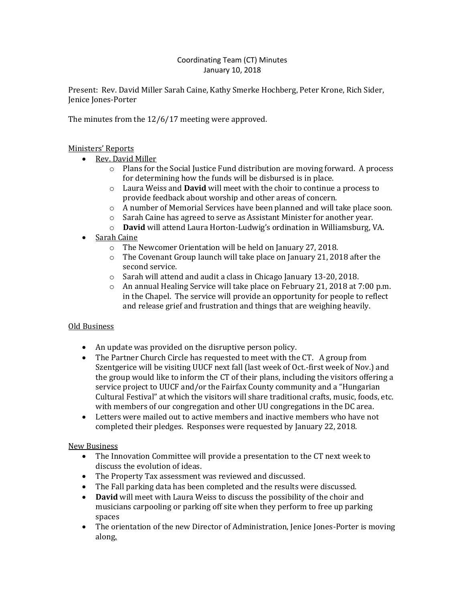## Coordinating Team (CT) Minutes January 10, 2018

Present: Rev. David Miller Sarah Caine, Kathy Smerke Hochberg, Peter Krone, Rich Sider, Jenice Jones-Porter

The minutes from the 12/6/17 meeting were approved.

## Ministers' Reports

- Rev. David Miller
	- o Plans for the Social Justice Fund distribution are moving forward. A process for determining how the funds will be disbursed is in place.
	- o Laura Weiss and **David** will meet with the choir to continue a process to provide feedback about worship and other areas of concern.
	- $\circ$  A number of Memorial Services have been planned and will take place soon.
	- o Sarah Caine has agreed to serve as Assistant Minister for another year.
	- o **David** will attend Laura Horton-Ludwig's ordination in Williamsburg, VA.
- Sarah Caine
	- o The Newcomer Orientation will be held on January 27, 2018.
	- $\circ$  The Covenant Group launch will take place on January 21, 2018 after the second service.
	- o Sarah will attend and audit a class in Chicago January 13-20, 2018.
	- $\circ$  An annual Healing Service will take place on February 21, 2018 at 7:00 p.m. in the Chapel. The service will provide an opportunity for people to reflect and release grief and frustration and things that are weighing heavily.

## Old Business

- An update was provided on the disruptive person policy.
- The Partner Church Circle has requested to meet with the CT. A group from Szentgerice will be visiting UUCF next fall (last week of Oct.-first week of Nov.) and the group would like to inform the CT of their plans, including the visitors offering a service project to UUCF and/or the Fairfax County community and a "Hungarian Cultural Festival" at which the visitors will share traditional crafts, music, foods, etc. with members of our congregation and other UU congregations in the DC area.
- Letters were mailed out to active members and inactive members who have not completed their pledges. Responses were requested by January 22, 2018.

## New Business

- The Innovation Committee will provide a presentation to the CT next week to discuss the evolution of ideas.
- The Property Tax assessment was reviewed and discussed.
- The Fall parking data has been completed and the results were discussed.
- **David** will meet with Laura Weiss to discuss the possibility of the choir and musicians carpooling or parking off site when they perform to free up parking spaces
- The orientation of the new Director of Administration, Jenice Jones-Porter is moving along.